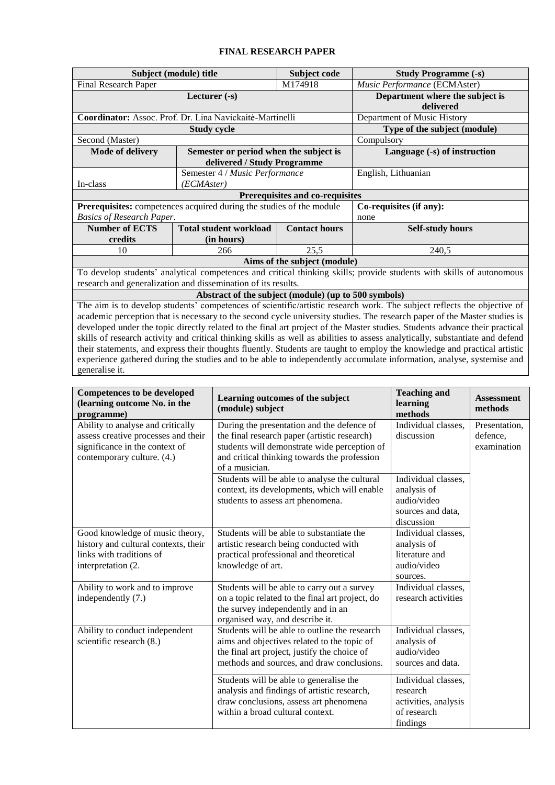## **FINAL RESEARCH PAPER**

|                                                                                                                               | Subject (module) title                                                                                                  | Subject code            | <b>Study Programme (-s)</b>                  |  |  |  |  |  |
|-------------------------------------------------------------------------------------------------------------------------------|-------------------------------------------------------------------------------------------------------------------------|-------------------------|----------------------------------------------|--|--|--|--|--|
| Final Research Paper                                                                                                          |                                                                                                                         | M174918                 | Music Performance (ECMAster)                 |  |  |  |  |  |
|                                                                                                                               | Lecturer $(-s)$                                                                                                         |                         | Department where the subject is<br>delivered |  |  |  |  |  |
|                                                                                                                               | Coordinator: Assoc. Prof. Dr. Lina Navickaitė-Martinelli                                                                |                         | Department of Music History                  |  |  |  |  |  |
| <b>Study cycle</b>                                                                                                            |                                                                                                                         |                         | Type of the subject (module)                 |  |  |  |  |  |
| Second (Master)                                                                                                               |                                                                                                                         | Compulsory              |                                              |  |  |  |  |  |
| <b>Mode of delivery</b>                                                                                                       | Semester or period when the subject is                                                                                  |                         | Language (-s) of instruction                 |  |  |  |  |  |
|                                                                                                                               | delivered / Study Programme                                                                                             |                         |                                              |  |  |  |  |  |
| Semester 4 / Music Performance<br>In-class<br>(ECMAster)                                                                      |                                                                                                                         |                         | English, Lithuanian                          |  |  |  |  |  |
| Prerequisites and co-requisites                                                                                               |                                                                                                                         |                         |                                              |  |  |  |  |  |
|                                                                                                                               | Prerequisites: competences acquired during the studies of the module                                                    | Co-requisites (if any): |                                              |  |  |  |  |  |
| <b>Basics of Research Paper.</b>                                                                                              |                                                                                                                         | none                    |                                              |  |  |  |  |  |
| <b>Number of ECTS</b>                                                                                                         | <b>Total student workload</b>                                                                                           | <b>Contact hours</b>    | <b>Self-study hours</b>                      |  |  |  |  |  |
| credits                                                                                                                       | (in hours)                                                                                                              |                         |                                              |  |  |  |  |  |
| 10                                                                                                                            | 25,5<br>240,5<br>266                                                                                                    |                         |                                              |  |  |  |  |  |
| Aims of the subject (module)                                                                                                  |                                                                                                                         |                         |                                              |  |  |  |  |  |
| To develop students' analytical competences and critical thinking skills; provide students with skills of autonomous          |                                                                                                                         |                         |                                              |  |  |  |  |  |
| research and generalization and dissemination of its results.                                                                 |                                                                                                                         |                         |                                              |  |  |  |  |  |
|                                                                                                                               | Abstract of the subject (module) (up to 500 symbols)                                                                    |                         |                                              |  |  |  |  |  |
|                                                                                                                               | The aim is to develop students' competences of scientific/artistic research work. The subject reflects the objective of |                         |                                              |  |  |  |  |  |
| academic perception that is necessary to the second cycle university studies. The research paper of the Master studies is     |                                                                                                                         |                         |                                              |  |  |  |  |  |
| developed under the topic directly related to the final art project of the Master studies. Students advance their practical   |                                                                                                                         |                         |                                              |  |  |  |  |  |
| skills of research activity and critical thinking skills as well as abilities to assess analytically, substantiate and defend |                                                                                                                         |                         |                                              |  |  |  |  |  |
| their statements, and express their thoughts fluently. Students are taught to employ the knowledge and practical artistic     |                                                                                                                         |                         |                                              |  |  |  |  |  |
| experience gathered during the studies and to be able to independently accumulate information, analyse, systemise and         |                                                                                                                         |                         |                                              |  |  |  |  |  |
| generalise it.                                                                                                                |                                                                                                                         |                         |                                              |  |  |  |  |  |
|                                                                                                                               |                                                                                                                         |                         |                                              |  |  |  |  |  |
| <b>Competences to be developed</b>                                                                                            |                                                                                                                         |                         | <b>Teaching and</b>                          |  |  |  |  |  |

| Competences to be developed<br>(learning outcome No. in the<br>programme)                                                                | Learning outcomes of the subject<br>(module) subject                                                                                                                                                         | Teaching and<br>learning<br>methods                                                  | <b>Assessment</b><br>methods             |
|------------------------------------------------------------------------------------------------------------------------------------------|--------------------------------------------------------------------------------------------------------------------------------------------------------------------------------------------------------------|--------------------------------------------------------------------------------------|------------------------------------------|
| Ability to analyse and critically<br>assess creative processes and their<br>significance in the context of<br>contemporary culture. (4.) | During the presentation and the defence of<br>the final research paper (artistic research)<br>students will demonstrate wide perception of<br>and critical thinking towards the profession<br>of a musician. | Individual classes,<br>discussion                                                    | Presentation,<br>defence,<br>examination |
|                                                                                                                                          | Students will be able to analyse the cultural<br>context, its developments, which will enable<br>students to assess art phenomena.                                                                           | Individual classes,<br>analysis of<br>audio/video<br>sources and data,<br>discussion |                                          |
| Good knowledge of music theory,<br>history and cultural contexts, their<br>links with traditions of<br>interpretation (2.                | Students will be able to substantiate the<br>artistic research being conducted with<br>practical professional and theoretical<br>knowledge of art.                                                           | Individual classes,<br>analysis of<br>literature and<br>audio/video<br>sources.      |                                          |
| Ability to work and to improve<br>independently (7.)                                                                                     | Students will be able to carry out a survey<br>on a topic related to the final art project, do<br>the survey independently and in an<br>organised way, and describe it.                                      | Individual classes,<br>research activities                                           |                                          |
| Ability to conduct independent<br>scientific research (8.)                                                                               | Students will be able to outline the research<br>aims and objectives related to the topic of<br>the final art project, justify the choice of<br>methods and sources, and draw conclusions.                   | Individual classes,<br>analysis of<br>audio/video<br>sources and data.               |                                          |
|                                                                                                                                          | Students will be able to generalise the<br>analysis and findings of artistic research,<br>draw conclusions, assess art phenomena<br>within a broad cultural context.                                         | Individual classes,<br>research<br>activities, analysis<br>of research<br>findings   |                                          |